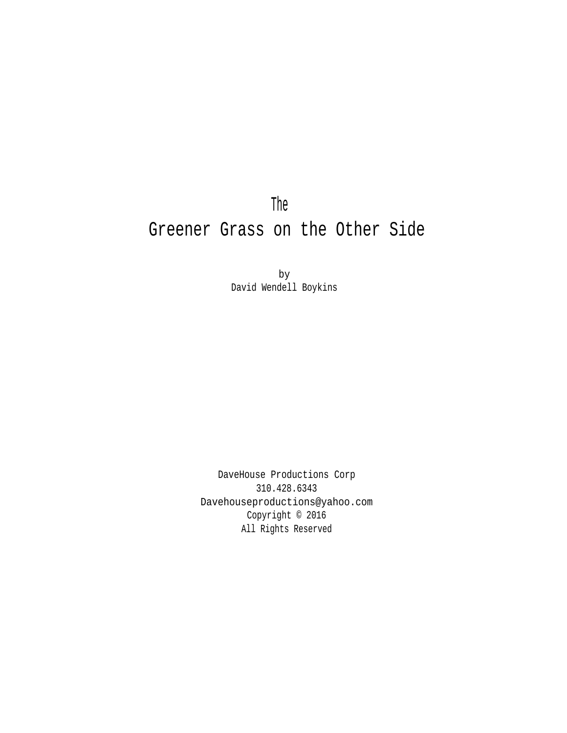The Greener Grass on the Other Side

> by David Wendell Boykins

DaveHouse Productions Corp 310.428.6343 Davehouseproductions@yahoo.com Copyright © 2016 All Rights Reserved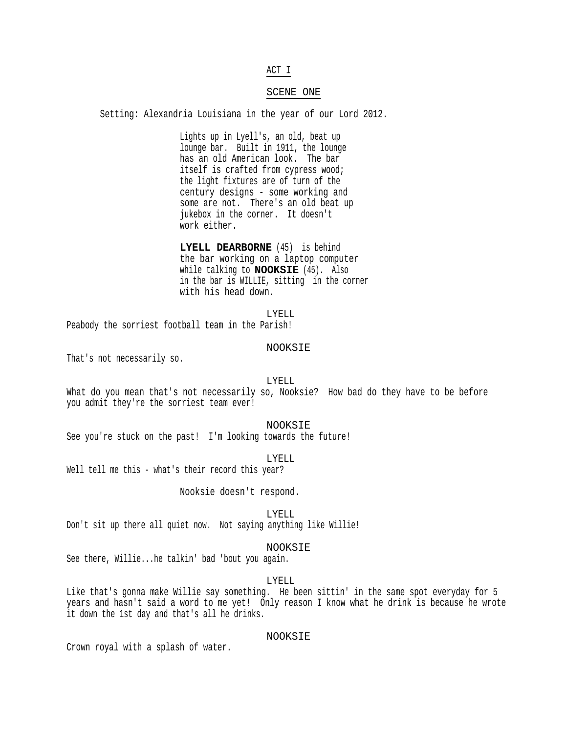### ACT I

#### SCENE ONE

Setting: Alexandria Louisiana in the year of our Lord 2012.

Lights up in Lyell's, an old, beat up lounge bar. Built in 1911, the lounge has an old American look. The bar itself is crafted from cypress wood; the light fixtures are of turn of the century designs - some working and some are not. There's an old beat up jukebox in the corner. It doesn't work either.

**LYELL DEARBORNE** (45) is behind the bar working on a laptop computer while talking to **NOOKSIE** (45). Also in the bar is WILLIE, sitting in the corner with his head down.

LYELL

Peabody the sorriest football team in the Parish!

#### NOOKSIE

That's not necessarily so.

LYELL

What do you mean that's not necessarily so, Nooksie? How bad do they have to be before you admit they're the sorriest team ever!

NOOKSIE

See you're stuck on the past! I'm looking towards the future!

LYELL

Well tell me this - what's their record this year?

Nooksie doesn't respond.

LYELL

Don't sit up there all quiet now. Not saying anything like Willie!

NOOKSIE

See there, Willie...he talkin' bad 'bout you again.

LYELL

Like that's gonna make Willie say something. He been sittin' in the same spot everyday for 5 years and hasn't said a word to me yet! Only reason I know what he drink is because he wrote it down the 1st day and that's all he drinks.

### NOOKSIE

Crown royal with a splash of water.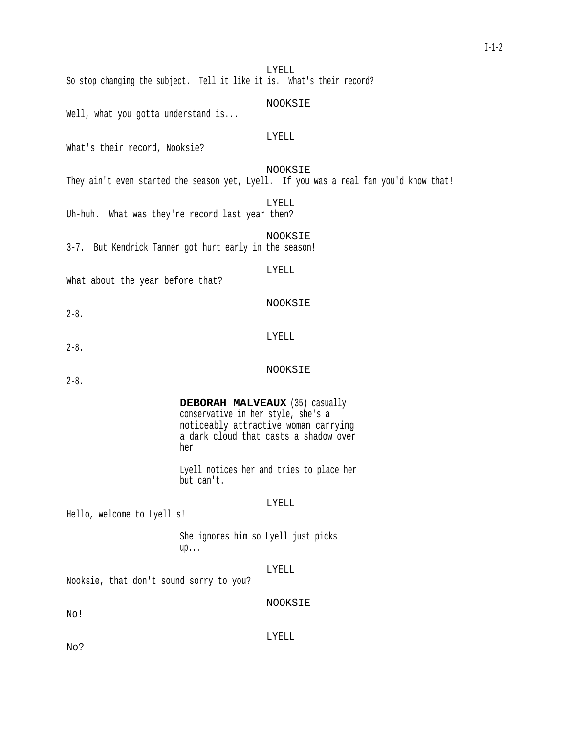LYELL So stop changing the subject. Tell it like it is. What's their record?

### NOOKSIE

Well, what you gotta understand is...

# LYELL

What's their record, Nooksie?

# NOOKSIE

They ain't even started the season yet, Lyell. If you was a real fan you'd know that!

LYELL

Uh-huh. What was they're record last year then?

### NOOKSIE

3-7. But Kendrick Tanner got hurt early in the season!

# LYELL

NOOKSIE

NOOKSIE

LYELL

What about the year before that?

 $2 - 8$ .

2-8.

2-8.

# **DEBORAH MALVEAUX** (35) casually conservative in her style, she's a noticeably attractive woman carrying a dark cloud that casts a shadow over her.

Lyell notices her and tries to place her but can't.

### LYELL

Hello, welcome to Lyell's!

She ignores him so Lyell just picks up...

# LYELL

Nooksie, that don't sound sorry to you?

NOOKSIE

No!

LYELL

No?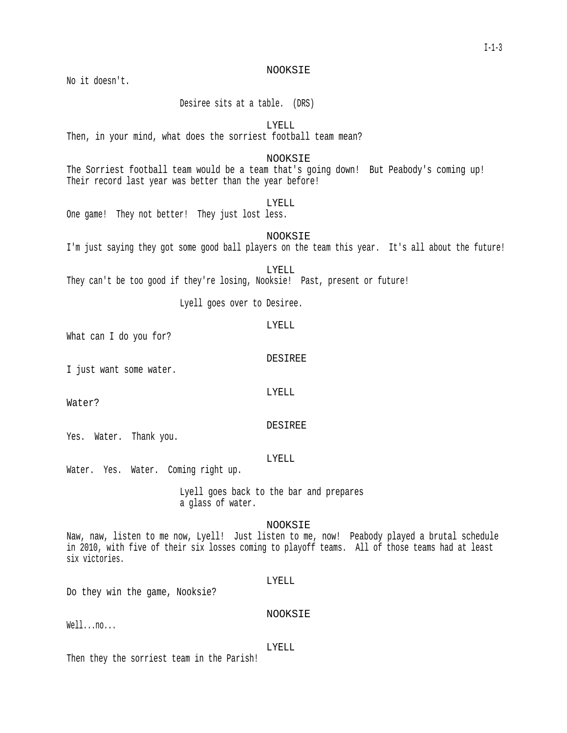NOOKSIE

No it doesn't.

Desiree sits at a table. (DRS)

LYELL

Then, in your mind, what does the sorriest football team mean?

NOOKSIE

The Sorriest football team would be a team that's going down! But Peabody's coming up! Their record last year was better than the year before!

# LYELL

One game! They not better! They just lost less.

NOOKSIE

I'm just saying they got some good ball players on the team this year. It's all about the future!

LYELL They can't be too good if they're losing, Nooksie! Past, present or future!

Lyell goes over to Desiree.

What can I do you for?

DESIREE

LYELL

I just want some water.

LYELL

Water?

Yes. Water. Thank you.

LYELL

DESIREE

Water. Yes. Water. Coming right up.

Lyell goes back to the bar and prepares a glass of water.

NOOKSIE

Naw, naw, listen to me now, Lyell! Just listen to me, now! Peabody played a brutal schedule in 2010, with five of their six losses coming to playoff teams. All of those teams had at least six victories.

LYELL

Do they win the game, Nooksie?

Well...no...

LYELL

NOOKSIE

Then they the sorriest team in the Parish!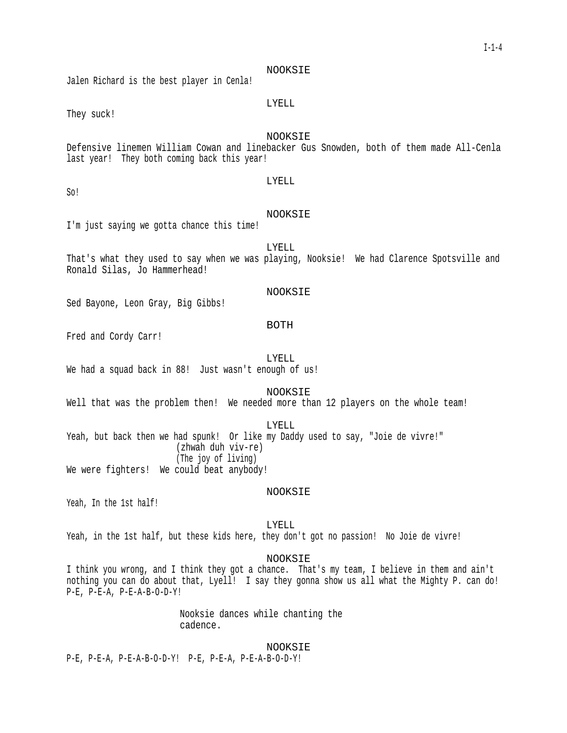NOOKSIE

Jalen Richard is the best player in Cenla!

# LYELL

They suck!

# NOOKSIE

Defensive linemen William Cowan and linebacker Gus Snowden, both of them made All-Cenla last year! They both coming back this year!

LYELL

So!

#### NOOKSIE

I'm just saying we gotta chance this time!

LYELL That's what they used to say when we was playing, Nooksie! We had Clarence Spotsville and Ronald Silas, Jo Hammerhead!

### NOOKSIE

Sed Bayone, Leon Gray, Big Gibbs!

# BOTH

Fred and Cordy Carr!

LYELL

We had a squad back in 88! Just wasn't enough of us!

NOOKSIE

Well that was the problem then! We needed more than 12 players on the whole team!

LYELL

Yeah, but back then we had spunk! Or like my Daddy used to say, "Joie de vivre!" (zhwah duh viv-re) (The joy of living) We were fighters! We could beat anybody!

NOOKSIE

Yeah, In the 1st half!

LYELL

Yeah, in the 1st half, but these kids here, they don't got no passion! No Joie de vivre!

NOOKSIE

I think you wrong, and I think they got a chance. That's my team, I believe in them and ain't nothing you can do about that, Lyell! I say they gonna show us all what the Mighty P. can do! P-E, P-E-A, P-E-A-B-O-D-Y!

> Nooksie dances while chanting the cadence.

> > NOOKSIE

P-E, P-E-A, P-E-A-B-O-D-Y! P-E, P-E-A, P-E-A-B-O-D-Y!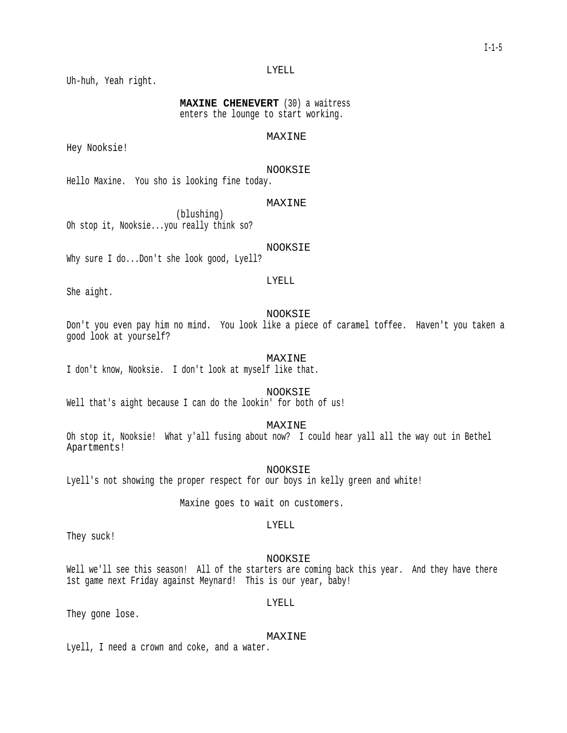### LYELL

Uh-huh, Yeah right.

**MAXINE CHENEVERT** (30) a waitress enters the lounge to start working.

# MAXINE

Hey Nooksie!

NOOKSIE

Hello Maxine. You sho is looking fine today.

# MAXINE

(blushing) Oh stop it, Nooksie...you really think so?

NOOKSIE

Why sure I do...Don't she look good, Lyell?

LYELL

She aight.

### NOOKSIE

Don't you even pay him no mind. You look like a piece of caramel toffee. Haven't you taken a good look at yourself?

### MAXINE

I don't know, Nooksie. I don't look at myself like that.

NOOKSIE

Well that's aight because I can do the lookin' for both of us!

MAXINE

Oh stop it, Nooksie! What y'all fusing about now? I could hear yall all the way out in Bethel Apartments!

NOOKSIE

Lyell's not showing the proper respect for our boys in kelly green and white!

Maxine goes to wait on customers.

They suck!

NOOKSIE

LYELL

Well we'll see this season! All of the starters are coming back this year. And they have there 1st game next Friday against Meynard! This is our year, baby!

LYELL

They gone lose.

#### MAXINE

Lyell, I need a crown and coke, and a water.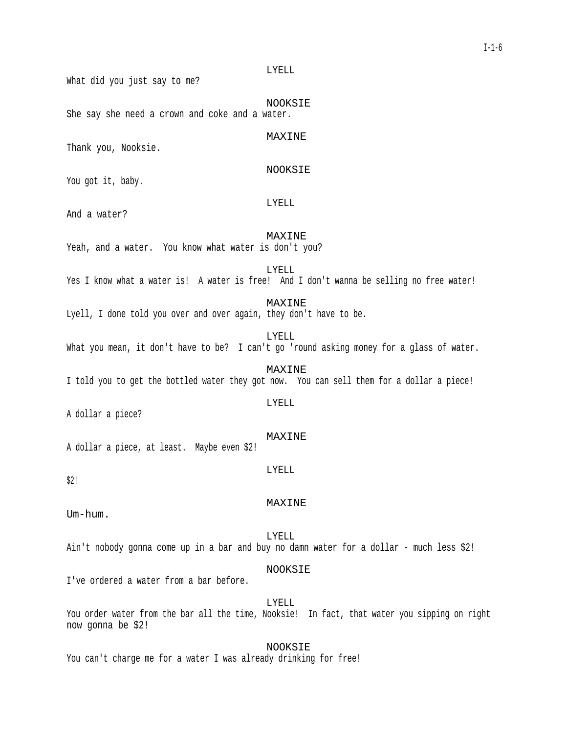LYELL What did you just say to me? NOOKSIE She say she need a crown and coke and a water. MAXINE Thank you, Nooksie. NOOKSIE You got it, baby. LYELL And a water? MAXINE Yeah, and a water. You know what water is don't you? LYELL Yes I know what a water is! A water is free! And I don't wanna be selling no free water! MAXINE Lyell, I done told you over and over again, they don't have to be. LYELL What you mean, it don't have to be? I can't go 'round asking money for a glass of water. MAXINE I told you to get the bottled water they got now. You can sell them for a dollar a piece! LYELL A dollar a piece? MAXINE A dollar a piece, at least. Maybe even \$2! LYELL \$2! MAXINE Um-hum. LYELL Ain't nobody gonna come up in a bar and buy no damn water for a dollar - much less \$2! NOOKSIE

I've ordered a water from a bar before.

LYELL

You order water from the bar all the time, Nooksie! In fact, that water you sipping on right now gonna be \$2!

NOOKSIE You can't charge me for a water I was already drinking for free!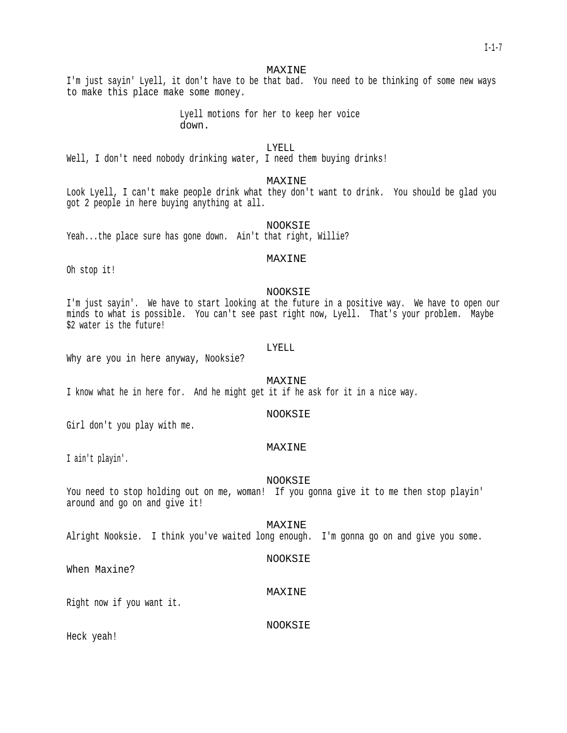#### MAXINE

I'm just sayin' Lyell, it don't have to be that bad. You need to be thinking of some new ways to make this place make some money.

> Lyell motions for her to keep her voice down.

# LYELL

Well, I don't need nobody drinking water, I need them buying drinks!

#### MAXINE

Look Lyell, I can't make people drink what they don't want to drink. You should be glad you got 2 people in here buying anything at all.

NOOKSIE

Yeah...the place sure has gone down. Ain't that right, Willie?

# MAXINE

Oh stop it!

#### NOOKSIE

I'm just sayin'. We have to start looking at the future in a positive way. We have to open our minds to what is possible. You can't see past right now, Lyell. That's your problem. Maybe \$2 water is the future!

#### LYELL

Why are you in here anyway, Nooksie?

MAXINE

I know what he in here for. And he might get it if he ask for it in a nice way.

### NOOKSIE

Girl don't you play with me.

### MAXINE

I ain't playin'.

#### NOOKSIE

You need to stop holding out on me, woman! If you gonna give it to me then stop playin' around and go on and give it!

Alright Nooksie. I think you've waited long enough. I'm gonna go on and give you some.

### NOOKSIE

MAXINE

When Maxine?

### MAXINE

Right now if you want it.

### NOOKSIE

Heck yeah!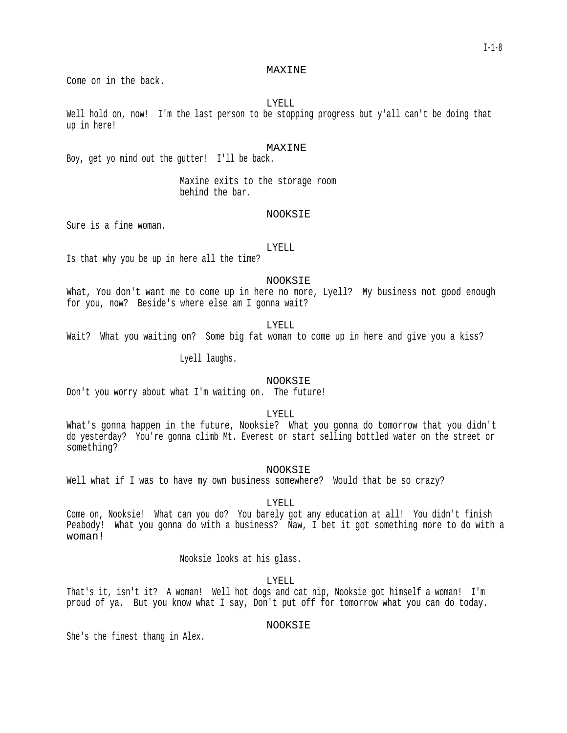#### MAXINE

Come on in the back.

LYELL

Well hold on, now! I'm the last person to be stopping progress but y'all can't be doing that up in here!

### MAXINE

Boy, get yo mind out the gutter! I'll be back.

Maxine exits to the storage room behind the bar.

### NOOKSIE

Sure is a fine woman.

LYELL

Is that why you be up in here all the time?

NOOKSIE

What, You don't want me to come up in here no more, Lyell? My business not good enough for you, now? Beside's where else am I gonna wait?

### LYELL

Wait? What you waiting on? Some big fat woman to come up in here and give you a kiss?

Lyell laughs.

### NOOKSIE

Don't you worry about what I'm waiting on. The future!

LYELL

What's gonna happen in the future, Nooksie? What you gonna do tomorrow that you didn't do yesterday? You're gonna climb Mt. Everest or start selling bottled water on the street or something?

NOOKSIE

Well what if I was to have my own business somewhere? Would that be so crazy?

LYELL

Come on, Nooksie! What can you do? You barely got any education at all! You didn't finish Peabody! What you gonna do with a business? Naw, I bet it got something more to do with a woman!

Nooksie looks at his glass.

LYELL

That's it, isn't it? A woman! Well hot dogs and cat nip, Nooksie got himself a woman! I'm proud of ya. But you know what I say, Don't put off for tomorrow what you can do today.

# NOOKSIE

She's the finest thang in Alex.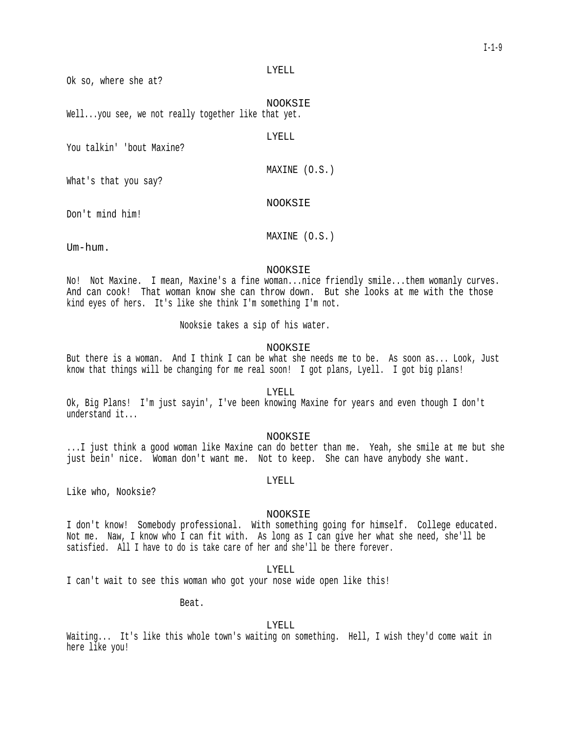#### LYELL

Ok so, where she at?

NOOKSIE Well...you see, we not really together like that yet.

LYELL

You talkin' 'bout Maxine?

MAXINE (O.S.)

What's that you say?

# NOOKSIE

Don't mind him!

MAXINE (O.S.)

Um-hum.

#### NOOKSIE

No! Not Maxine. I mean, Maxine's a fine woman...nice friendly smile...them womanly curves. And can cook! That woman know she can throw down. But she looks at me with the those kind eyes of hers. It's like she think I'm something I'm not.

Nooksie takes a sip of his water.

# NOOKSIE

But there is a woman. And I think I can be what she needs me to be. As soon as... Look, Just know that things will be changing for me real soon! I got plans, Lyell. I got big plans!

LYELL

Ok, Big Plans! I'm just sayin', I've been knowing Maxine for years and even though I don't understand it...

### NOOKSIE

...I just think a good woman like Maxine can do better than me. Yeah, she smile at me but she just bein' nice. Woman don't want me. Not to keep. She can have anybody she want.

LYELL

Like who, Nooksie?

#### NOOKSIE

I don't know! Somebody professional. With something going for himself. College educated. Not me. Naw, I know who I can fit with. As long as I can give her what she need, she'll be satisfied. All I have to do is take care of her and she'll be there forever.

LYELL

I can't wait to see this woman who got your nose wide open like this!

Beat.

LYELL

Waiting... It's like this whole town's waiting on something. Hell, I wish they'd come wait in here like you!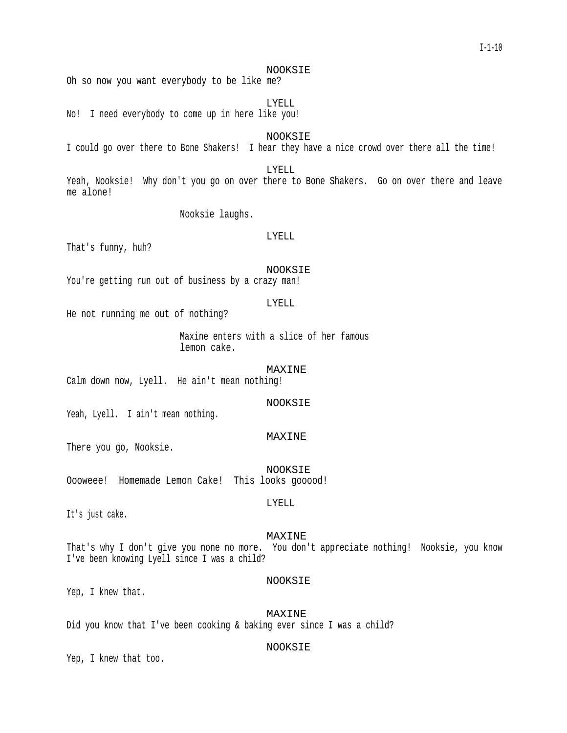# NOOKSIE

Oh so now you want everybody to be like me?

LYELL

No! I need everybody to come up in here like you!

NOOKSIE

I could go over there to Bone Shakers! I hear they have a nice crowd over there all the time!

LYELL

Yeah, Nooksie! Why don't you go on over there to Bone Shakers. Go on over there and leave me alone!

Nooksie laughs.

#### LYELL

That's funny, huh?

NOOKSIE

You're getting run out of business by a crazy man!

#### LYELL

He not running me out of nothing?

Maxine enters with a slice of her famous lemon cake.

MAXINE

Calm down now, Lyell. He ain't mean nothing!

NOOKSIE

Yeah, Lyell. I ain't mean nothing.

#### MAXINE

There you go, Nooksie.

NOOKSIE Oooweee! Homemade Lemon Cake! This looks gooood!

It's just cake.

### MAXINE

LYELL

That's why I don't give you none no more. You don't appreciate nothing! Nooksie, you know I've been knowing Lyell since I was a child?

# NOOKSIE

Yep, I knew that.

MAXINE Did you know that I've been cooking & baking ever since I was a child?

### NOOKSIE

Yep, I knew that too.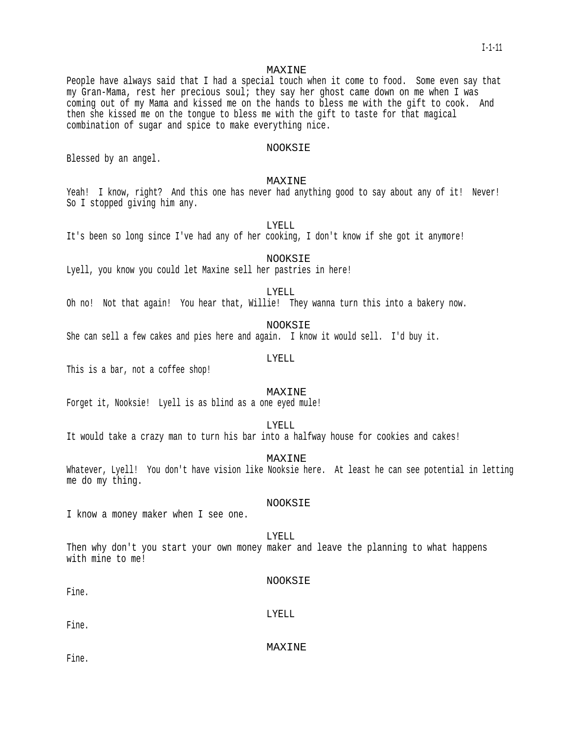#### MAXINE

People have always said that I had a special touch when it come to food. Some even say that my Gran-Mama, rest her precious soul; they say her ghost came down on me when I was coming out of my Mama and kissed me on the hands to bless me with the gift to cook. And then she kissed me on the tongue to bless me with the gift to taste for that magical combination of sugar and spice to make everything nice.

### NOOKSIE

Blessed by an angel.

### MAXINE

Yeah! I know, right? And this one has never had anything good to say about any of it! Never! So I stopped giving him any.

LYELL

It's been so long since I've had any of her cooking, I don't know if she got it anymore!

NOOKSIE Lyell, you know you could let Maxine sell her pastries in here!

LYELL

Oh no! Not that again! You hear that, Willie! They wanna turn this into a bakery now.

NOOKSIE

She can sell a few cakes and pies here and again. I know it would sell. I'd buy it.

#### LYELL

This is a bar, not a coffee shop!

### MAXINE

Forget it, Nooksie! Lyell is as blind as a one eyed mule!

LYELL

It would take a crazy man to turn his bar into a halfway house for cookies and cakes!

MAXINE

Whatever, Lyell! You don't have vision like Nooksie here. At least he can see potential in letting me do my thing.

### NOOKSIE

I know a money maker when I see one.

# LYELL

Then why don't you start your own money maker and leave the planning to what happens with mine to me!

### NOOKSIE

Fine.

LYELL

Fine.

MAXINE

Fine.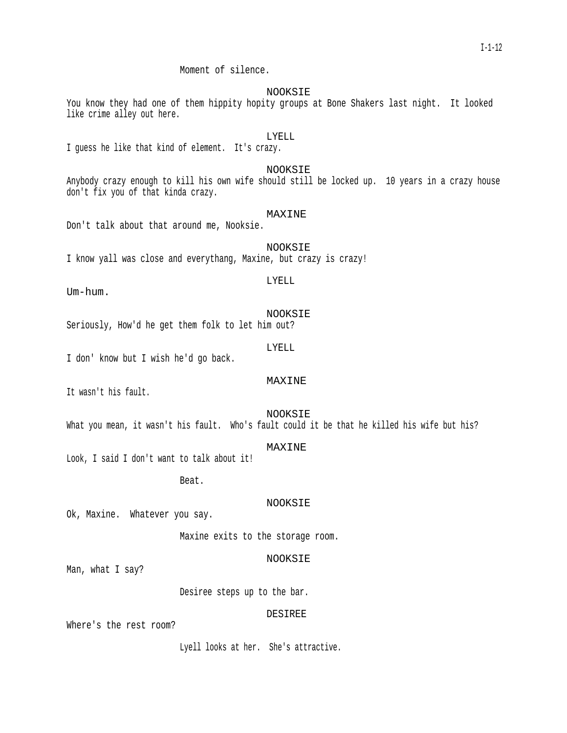Moment of silence.

NOOKSIE

You know they had one of them hippity hopity groups at Bone Shakers last night. It looked like crime alley out here.

# LYELL

I guess he like that kind of element. It's crazy.

### NOOKSIE

Anybody crazy enough to kill his own wife should still be locked up. 10 years in a crazy house don't fix you of that kinda crazy.

# MAXINE

Don't talk about that around me, Nooksie.

NOOKSIE I know yall was close and everythang, Maxine, but crazy is crazy!

# LYELL

Um-hum.

NOOKSIE Seriously, How'd he get them folk to let him out?

LYELL

I don' know but I wish he'd go back.

# MAXINE

It wasn't his fault.

## NOOKSIE

What you mean, it wasn't his fault. Who's fault could it be that he killed his wife but his?

# MAXINE

Look, I said I don't want to talk about it!

Beat.

#### NOOKSIE

Ok, Maxine. Whatever you say.

Maxine exits to the storage room.

### NOOKSIE

Man, what I say?

Desiree steps up to the bar.

#### DESIREE

Where's the rest room?

Lyell looks at her. She's attractive.